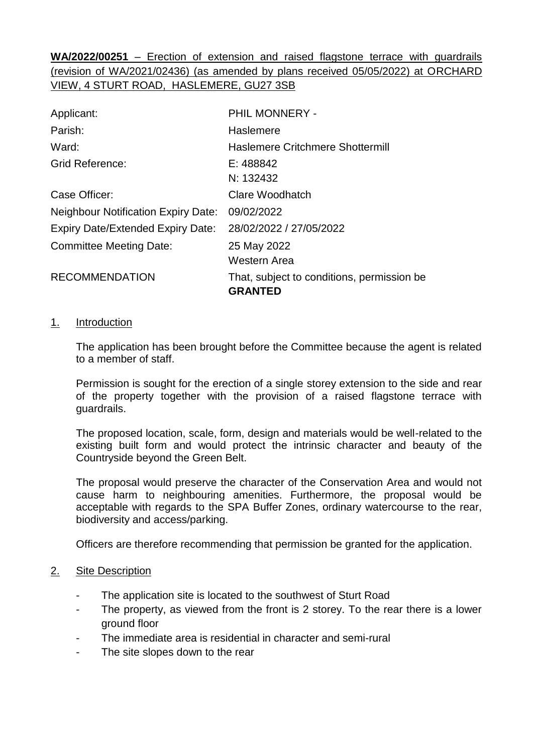**WA/2022/00251** – Erection of extension and raised flagstone terrace with guardrails (revision of WA/2021/02436) (as amended by plans received 05/05/2022) at ORCHARD VIEW, 4 STURT ROAD, HASLEMERE, GU27 3SB

| Applicant:                                 | PHIL MONNERY -                                               |  |
|--------------------------------------------|--------------------------------------------------------------|--|
| Parish:                                    | Haslemere                                                    |  |
| Ward:                                      | Haslemere Critchmere Shottermill                             |  |
| <b>Grid Reference:</b>                     | E: 488842                                                    |  |
|                                            | N: 132432                                                    |  |
| Case Officer:                              | Clare Woodhatch                                              |  |
| <b>Neighbour Notification Expiry Date:</b> | 09/02/2022                                                   |  |
| <b>Expiry Date/Extended Expiry Date:</b>   | 28/02/2022 / 27/05/2022                                      |  |
| <b>Committee Meeting Date:</b>             | 25 May 2022                                                  |  |
|                                            | Western Area                                                 |  |
| <b>RECOMMENDATION</b>                      | That, subject to conditions, permission be<br><b>GRANTED</b> |  |

#### 1. Introduction

The application has been brought before the Committee because the agent is related to a member of staff.

Permission is sought for the erection of a single storey extension to the side and rear of the property together with the provision of a raised flagstone terrace with guardrails.

The proposed location, scale, form, design and materials would be well-related to the existing built form and would protect the intrinsic character and beauty of the Countryside beyond the Green Belt.

The proposal would preserve the character of the Conservation Area and would not cause harm to neighbouring amenities. Furthermore, the proposal would be acceptable with regards to the SPA Buffer Zones, ordinary watercourse to the rear, biodiversity and access/parking.

Officers are therefore recommending that permission be granted for the application.

#### 2. Site Description

- The application site is located to the southwest of Sturt Road
- The property, as viewed from the front is 2 storey. To the rear there is a lower ground floor
- The immediate area is residential in character and semi-rural
- The site slopes down to the rear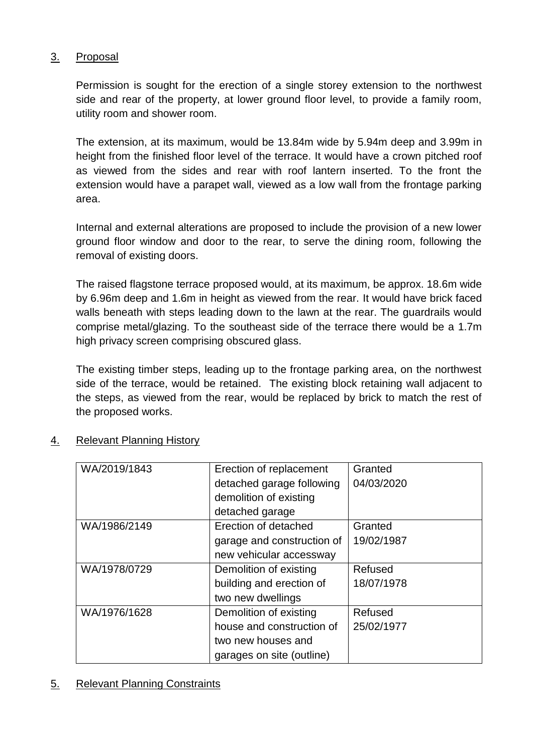#### 3. Proposal

Permission is sought for the erection of a single storey extension to the northwest side and rear of the property, at lower ground floor level, to provide a family room, utility room and shower room.

The extension, at its maximum, would be 13.84m wide by 5.94m deep and 3.99m in height from the finished floor level of the terrace. It would have a crown pitched roof as viewed from the sides and rear with roof lantern inserted. To the front the extension would have a parapet wall, viewed as a low wall from the frontage parking area.

Internal and external alterations are proposed to include the provision of a new lower ground floor window and door to the rear, to serve the dining room, following the removal of existing doors.

The raised flagstone terrace proposed would, at its maximum, be approx. 18.6m wide by 6.96m deep and 1.6m in height as viewed from the rear. It would have brick faced walls beneath with steps leading down to the lawn at the rear. The guardrails would comprise metal/glazing. To the southeast side of the terrace there would be a 1.7m high privacy screen comprising obscured glass.

The existing timber steps, leading up to the frontage parking area, on the northwest side of the terrace, would be retained. The existing block retaining wall adjacent to the steps, as viewed from the rear, would be replaced by brick to match the rest of the proposed works.

| WA/2019/1843 | Erection of replacement    | Granted    |
|--------------|----------------------------|------------|
|              | detached garage following  | 04/03/2020 |
|              | demolition of existing     |            |
|              | detached garage            |            |
| WA/1986/2149 | Erection of detached       | Granted    |
|              | garage and construction of | 19/02/1987 |
|              | new vehicular accessway    |            |
| WA/1978/0729 | Demolition of existing     | Refused    |
|              | building and erection of   | 18/07/1978 |
|              | two new dwellings          |            |
| WA/1976/1628 | Demolition of existing     | Refused    |
|              | house and construction of  | 25/02/1977 |
|              | two new houses and         |            |
|              | garages on site (outline)  |            |

### 4. Relevant Planning History

#### 5. Relevant Planning Constraints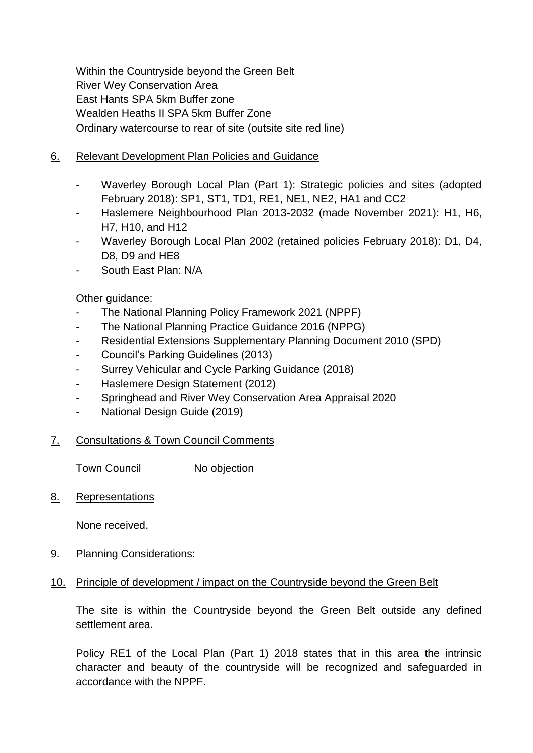Within the Countryside beyond the Green Belt River Wey Conservation Area East Hants SPA 5km Buffer zone Wealden Heaths II SPA 5km Buffer Zone Ordinary watercourse to rear of site (outsite site red line)

- 6. Relevant Development Plan Policies and Guidance
	- Waverley Borough Local Plan (Part 1): Strategic policies and sites (adopted February 2018): SP1, ST1, TD1, RE1, NE1, NE2, HA1 and CC2
	- Haslemere Neighbourhood Plan 2013-2032 (made November 2021): H1, H6, H7, H10, and H12
	- Waverley Borough Local Plan 2002 (retained policies February 2018): D1, D4, D<sub>8</sub>, D<sub>9</sub> and H<sub>E</sub>8
	- South East Plan: N/A

Other guidance:

- The National Planning Policy Framework 2021 (NPPF)
- The National Planning Practice Guidance 2016 (NPPG)
- Residential Extensions Supplementary Planning Document 2010 (SPD)
- Council's Parking Guidelines (2013)
- Surrey Vehicular and Cycle Parking Guidance (2018)
- Haslemere Design Statement (2012)
- Springhead and River Wey Conservation Area Appraisal 2020
- National Design Guide (2019)
- 7. Consultations & Town Council Comments

Town Council No objection

8. Representations

None received.

- 9. Planning Considerations:
- 10. Principle of development / impact on the Countryside beyond the Green Belt

The site is within the Countryside beyond the Green Belt outside any defined settlement area.

Policy RE1 of the Local Plan (Part 1) 2018 states that in this area the intrinsic character and beauty of the countryside will be recognized and safeguarded in accordance with the NPPF.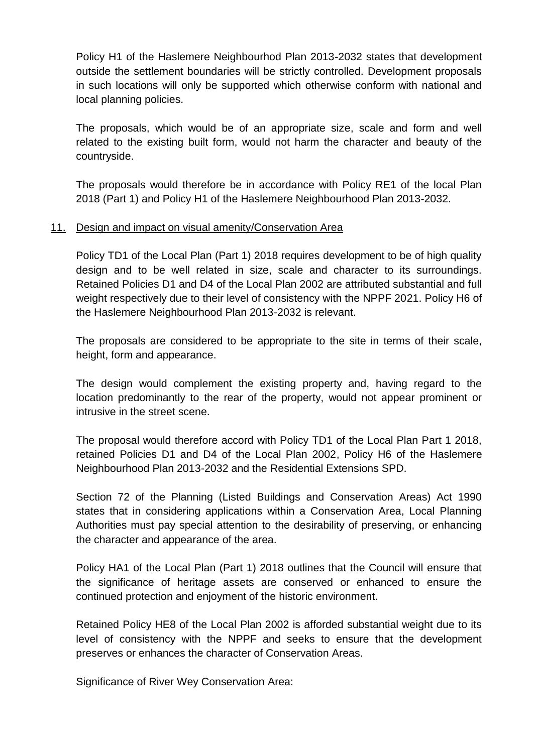Policy H1 of the Haslemere Neighbourhod Plan 2013-2032 states that development outside the settlement boundaries will be strictly controlled. Development proposals in such locations will only be supported which otherwise conform with national and local planning policies.

The proposals, which would be of an appropriate size, scale and form and well related to the existing built form, would not harm the character and beauty of the countryside.

The proposals would therefore be in accordance with Policy RE1 of the local Plan 2018 (Part 1) and Policy H1 of the Haslemere Neighbourhood Plan 2013-2032.

#### 11. Design and impact on visual amenity/Conservation Area

Policy TD1 of the Local Plan (Part 1) 2018 requires development to be of high quality design and to be well related in size, scale and character to its surroundings. Retained Policies D1 and D4 of the Local Plan 2002 are attributed substantial and full weight respectively due to their level of consistency with the NPPF 2021. Policy H6 of the Haslemere Neighbourhood Plan 2013-2032 is relevant.

The proposals are considered to be appropriate to the site in terms of their scale, height, form and appearance.

The design would complement the existing property and, having regard to the location predominantly to the rear of the property, would not appear prominent or intrusive in the street scene.

The proposal would therefore accord with Policy TD1 of the Local Plan Part 1 2018, retained Policies D1 and D4 of the Local Plan 2002, Policy H6 of the Haslemere Neighbourhood Plan 2013-2032 and the Residential Extensions SPD.

Section 72 of the Planning (Listed Buildings and Conservation Areas) Act 1990 states that in considering applications within a Conservation Area, Local Planning Authorities must pay special attention to the desirability of preserving, or enhancing the character and appearance of the area.

Policy HA1 of the Local Plan (Part 1) 2018 outlines that the Council will ensure that the significance of heritage assets are conserved or enhanced to ensure the continued protection and enjoyment of the historic environment.

Retained Policy HE8 of the Local Plan 2002 is afforded substantial weight due to its level of consistency with the NPPF and seeks to ensure that the development preserves or enhances the character of Conservation Areas.

Significance of River Wey Conservation Area: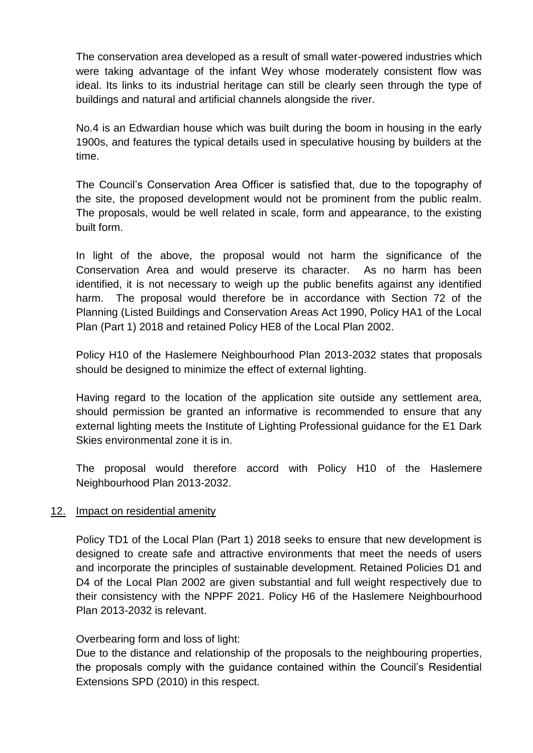The conservation area developed as a result of small water-powered industries which were taking advantage of the infant Wey whose moderately consistent flow was ideal. Its links to its industrial heritage can still be clearly seen through the type of buildings and natural and artificial channels alongside the river.

No.4 is an Edwardian house which was built during the boom in housing in the early 1900s, and features the typical details used in speculative housing by builders at the time.

The Council's Conservation Area Officer is satisfied that, due to the topography of the site, the proposed development would not be prominent from the public realm. The proposals, would be well related in scale, form and appearance, to the existing built form.

In light of the above, the proposal would not harm the significance of the Conservation Area and would preserve its character. As no harm has been identified, it is not necessary to weigh up the public benefits against any identified harm. The proposal would therefore be in accordance with Section 72 of the Planning (Listed Buildings and Conservation Areas Act 1990, Policy HA1 of the Local Plan (Part 1) 2018 and retained Policy HE8 of the Local Plan 2002.

Policy H10 of the Haslemere Neighbourhood Plan 2013-2032 states that proposals should be designed to minimize the effect of external lighting.

Having regard to the location of the application site outside any settlement area, should permission be granted an informative is recommended to ensure that any external lighting meets the Institute of Lighting Professional guidance for the E1 Dark Skies environmental zone it is in.

The proposal would therefore accord with Policy H10 of the Haslemere Neighbourhood Plan 2013-2032.

#### 12. Impact on residential amenity

Policy TD1 of the Local Plan (Part 1) 2018 seeks to ensure that new development is designed to create safe and attractive environments that meet the needs of users and incorporate the principles of sustainable development. Retained Policies D1 and D4 of the Local Plan 2002 are given substantial and full weight respectively due to their consistency with the NPPF 2021. Policy H6 of the Haslemere Neighbourhood Plan 2013-2032 is relevant.

#### Overbearing form and loss of light:

Due to the distance and relationship of the proposals to the neighbouring properties, the proposals comply with the guidance contained within the Council's Residential Extensions SPD (2010) in this respect.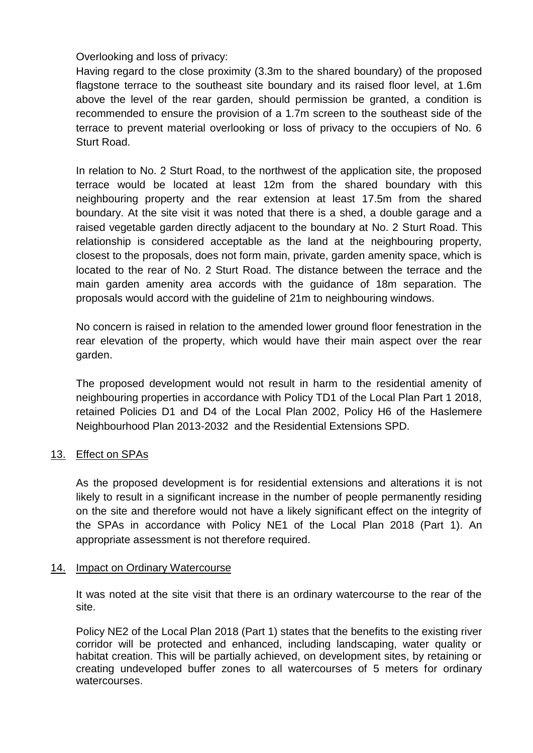Overlooking and loss of privacy:

Having regard to the close proximity (3.3m to the shared boundary) of the proposed flagstone terrace to the southeast site boundary and its raised floor level, at 1.6m above the level of the rear garden, should permission be granted, a condition is recommended to ensure the provision of a 1.7m screen to the southeast side of the terrace to prevent material overlooking or loss of privacy to the occupiers of No. 6 Sturt Road.

In relation to No. 2 Sturt Road, to the northwest of the application site, the proposed terrace would be located at least 12m from the shared boundary with this neighbouring property and the rear extension at least 17.5m from the shared boundary. At the site visit it was noted that there is a shed, a double garage and a raised vegetable garden directly adjacent to the boundary at No. 2 Sturt Road. This relationship is considered acceptable as the land at the neighbouring property, closest to the proposals, does not form main, private, garden amenity space, which is located to the rear of No. 2 Sturt Road. The distance between the terrace and the main garden amenity area accords with the guidance of 18m separation. The proposals would accord with the guideline of 21m to neighbouring windows.

No concern is raised in relation to the amended lower ground floor fenestration in the rear elevation of the property, which would have their main aspect over the rear garden.

The proposed development would not result in harm to the residential amenity of neighbouring properties in accordance with Policy TD1 of the Local Plan Part 1 2018, retained Policies D1 and D4 of the Local Plan 2002, Policy H6 of the Haslemere Neighbourhood Plan 2013-2032 and the Residential Extensions SPD.

#### 13. Effect on SPAs

As the proposed development is for residential extensions and alterations it is not likely to result in a significant increase in the number of people permanently residing on the site and therefore would not have a likely significant effect on the integrity of the SPAs in accordance with Policy NE1 of the Local Plan 2018 (Part 1). An appropriate assessment is not therefore required.

#### 14. Impact on Ordinary Watercourse

It was noted at the site visit that there is an ordinary watercourse to the rear of the site.

Policy NE2 of the Local Plan 2018 (Part 1) states that the benefits to the existing river corridor will be protected and enhanced, including landscaping, water quality or habitat creation. This will be partially achieved, on development sites, by retaining or creating undeveloped buffer zones to all watercourses of 5 meters for ordinary watercourses.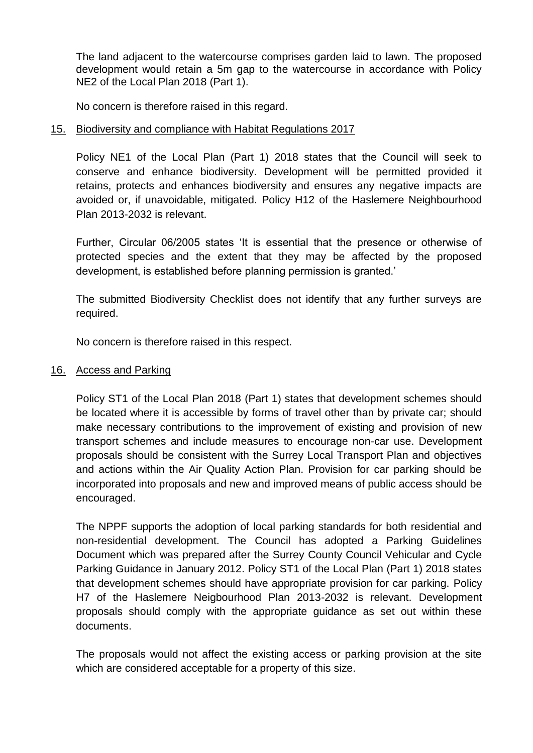The land adjacent to the watercourse comprises garden laid to lawn. The proposed development would retain a 5m gap to the watercourse in accordance with Policy NE2 of the Local Plan 2018 (Part 1).

No concern is therefore raised in this regard.

#### 15. Biodiversity and compliance with Habitat Regulations 2017

Policy NE1 of the Local Plan (Part 1) 2018 states that the Council will seek to conserve and enhance biodiversity. Development will be permitted provided it retains, protects and enhances biodiversity and ensures any negative impacts are avoided or, if unavoidable, mitigated. Policy H12 of the Haslemere Neighbourhood Plan 2013-2032 is relevant.

Further, Circular 06/2005 states 'It is essential that the presence or otherwise of protected species and the extent that they may be affected by the proposed development, is established before planning permission is granted.'

The submitted Biodiversity Checklist does not identify that any further surveys are required.

No concern is therefore raised in this respect.

#### 16. Access and Parking

Policy ST1 of the Local Plan 2018 (Part 1) states that development schemes should be located where it is accessible by forms of travel other than by private car; should make necessary contributions to the improvement of existing and provision of new transport schemes and include measures to encourage non-car use. Development proposals should be consistent with the Surrey Local Transport Plan and objectives and actions within the Air Quality Action Plan. Provision for car parking should be incorporated into proposals and new and improved means of public access should be encouraged.

The NPPF supports the adoption of local parking standards for both residential and non-residential development. The Council has adopted a Parking Guidelines Document which was prepared after the Surrey County Council Vehicular and Cycle Parking Guidance in January 2012. Policy ST1 of the Local Plan (Part 1) 2018 states that development schemes should have appropriate provision for car parking. Policy H7 of the Haslemere Neigbourhood Plan 2013-2032 is relevant. Development proposals should comply with the appropriate guidance as set out within these documents.

The proposals would not affect the existing access or parking provision at the site which are considered acceptable for a property of this size.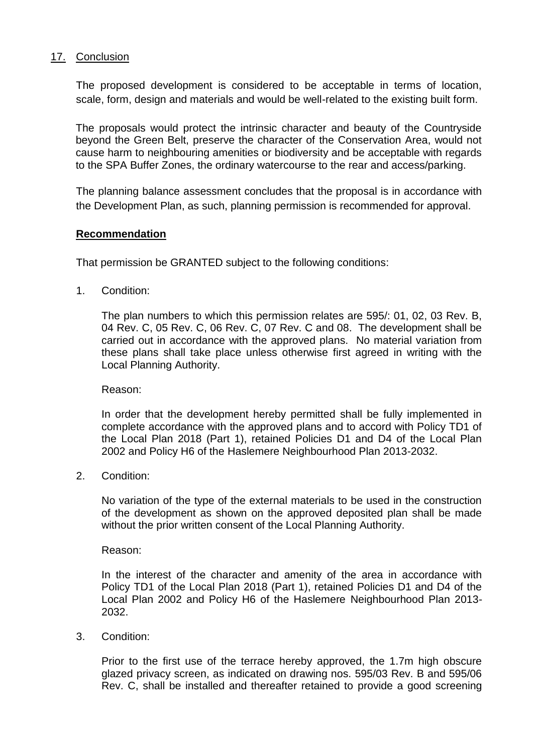#### 17. Conclusion

The proposed development is considered to be acceptable in terms of location, scale, form, design and materials and would be well-related to the existing built form.

The proposals would protect the intrinsic character and beauty of the Countryside beyond the Green Belt, preserve the character of the Conservation Area, would not cause harm to neighbouring amenities or biodiversity and be acceptable with regards to the SPA Buffer Zones, the ordinary watercourse to the rear and access/parking.

The planning balance assessment concludes that the proposal is in accordance with the Development Plan, as such, planning permission is recommended for approval.

#### **Recommendation**

That permission be GRANTED subject to the following conditions:

1. Condition:

The plan numbers to which this permission relates are 595/: 01, 02, 03 Rev. B, 04 Rev. C, 05 Rev. C, 06 Rev. C, 07 Rev. C and 08. The development shall be carried out in accordance with the approved plans. No material variation from these plans shall take place unless otherwise first agreed in writing with the Local Planning Authority.

Reason:

In order that the development hereby permitted shall be fully implemented in complete accordance with the approved plans and to accord with Policy TD1 of the Local Plan 2018 (Part 1), retained Policies D1 and D4 of the Local Plan 2002 and Policy H6 of the Haslemere Neighbourhood Plan 2013-2032.

2. Condition:

No variation of the type of the external materials to be used in the construction of the development as shown on the approved deposited plan shall be made without the prior written consent of the Local Planning Authority.

Reason:

In the interest of the character and amenity of the area in accordance with Policy TD1 of the Local Plan 2018 (Part 1), retained Policies D1 and D4 of the Local Plan 2002 and Policy H6 of the Haslemere Neighbourhood Plan 2013- 2032.

3. Condition:

Prior to the first use of the terrace hereby approved, the 1.7m high obscure glazed privacy screen, as indicated on drawing nos. 595/03 Rev. B and 595/06 Rev. C, shall be installed and thereafter retained to provide a good screening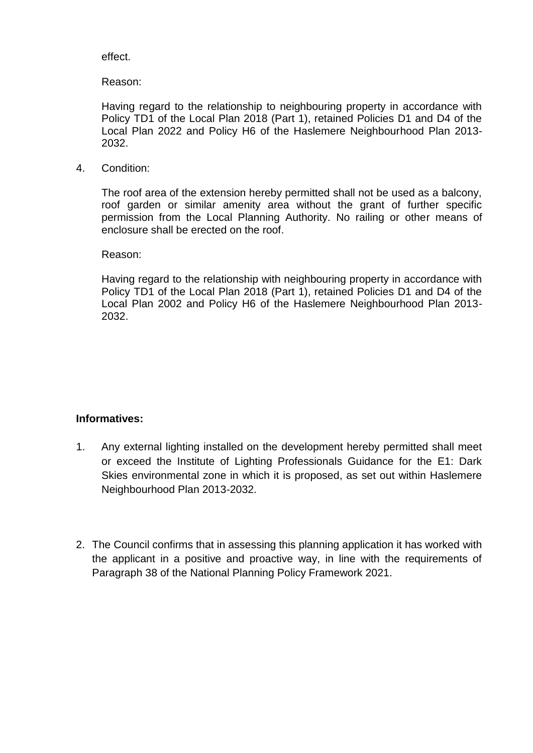effect.

Reason:

Having regard to the relationship to neighbouring property in accordance with Policy TD1 of the Local Plan 2018 (Part 1), retained Policies D1 and D4 of the Local Plan 2022 and Policy H6 of the Haslemere Neighbourhood Plan 2013- 2032.

4. Condition:

The roof area of the extension hereby permitted shall not be used as a balcony, roof garden or similar amenity area without the grant of further specific permission from the Local Planning Authority. No railing or other means of enclosure shall be erected on the roof.

Reason:

Having regard to the relationship with neighbouring property in accordance with Policy TD1 of the Local Plan 2018 (Part 1), retained Policies D1 and D4 of the Local Plan 2002 and Policy H6 of the Haslemere Neighbourhood Plan 2013- 2032.

#### **Informatives:**

- 1. Any external lighting installed on the development hereby permitted shall meet or exceed the Institute of Lighting Professionals Guidance for the E1: Dark Skies environmental zone in which it is proposed, as set out within Haslemere Neighbourhood Plan 2013-2032.
- 2. The Council confirms that in assessing this planning application it has worked with the applicant in a positive and proactive way, in line with the requirements of Paragraph 38 of the National Planning Policy Framework 2021.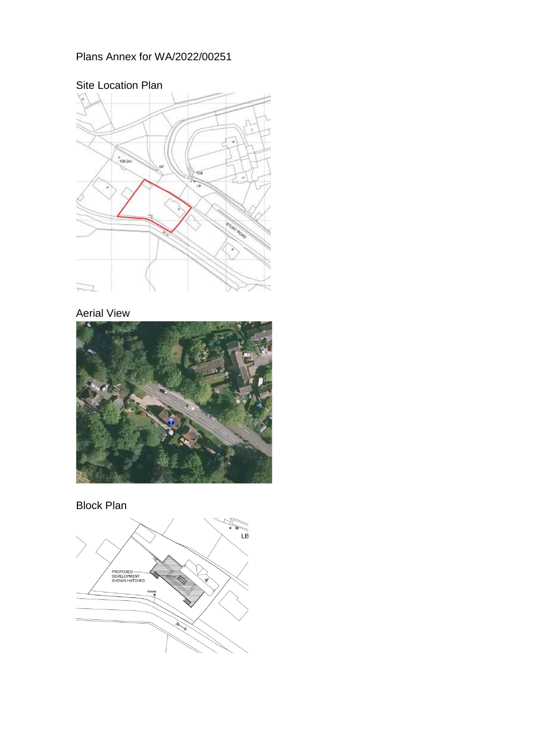## Plans Annex for WA/2022/00251



# Aerial View





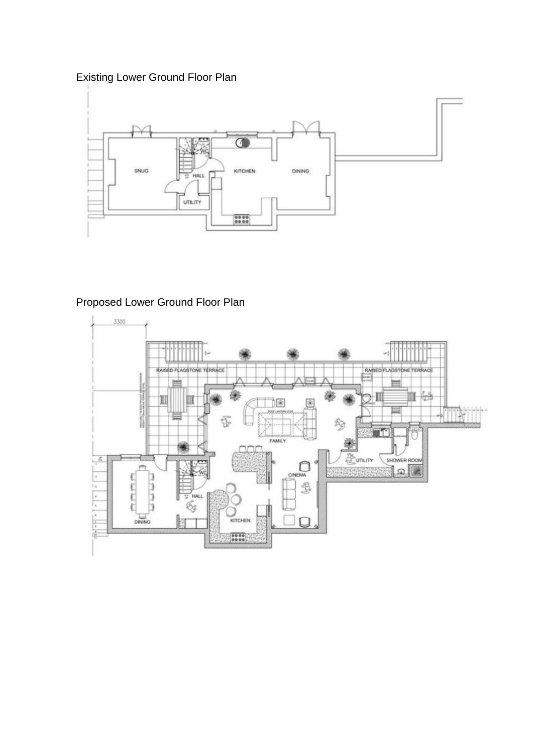## Existing Lower Ground Floor Plan



## Proposed Lower Ground Floor Plan

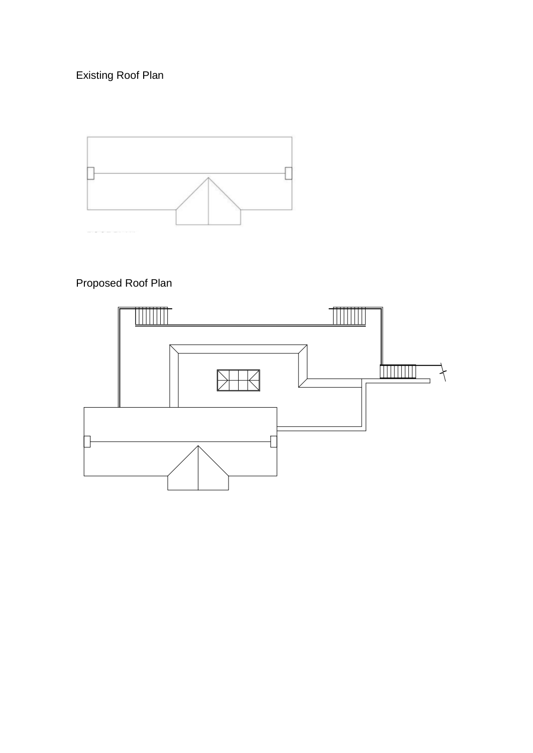Existing Roof Plan



# Proposed Roof Plan

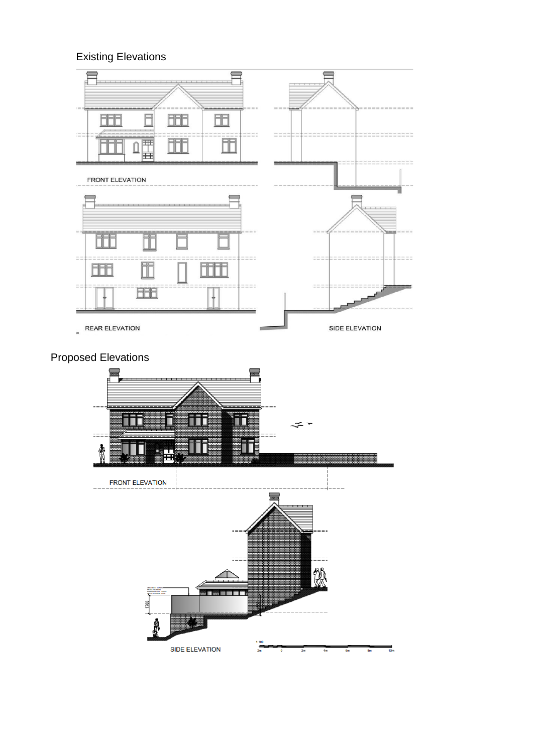# Existing Elevations



## Proposed Elevations